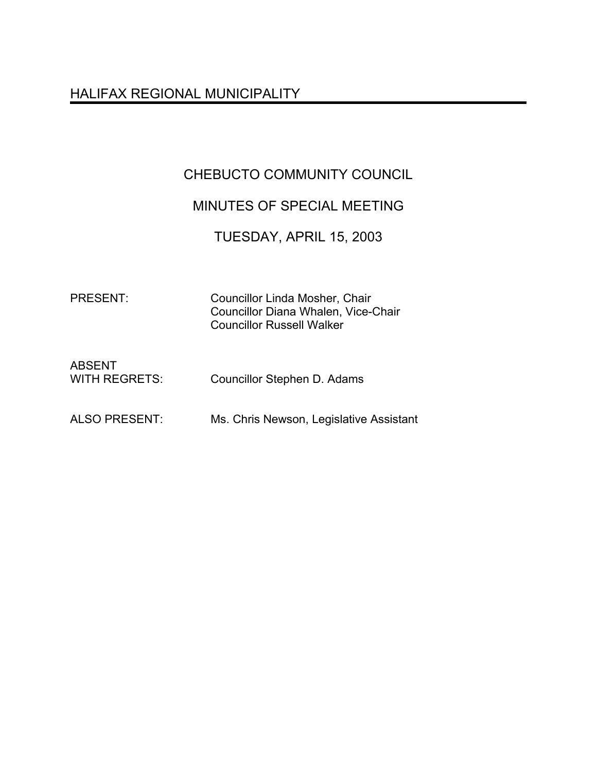# HALIFAX REGIONAL MUNICIPALITY

# CHEBUCTO COMMUNITY COUNCIL

# MINUTES OF SPECIAL MEETING

## TUESDAY, APRIL 15, 2003

PRESENT: Councillor Linda Mosher, Chair Councillor Diana Whalen, Vice-Chair Councillor Russell Walker

| <b>ABSENT</b>        |                             |
|----------------------|-----------------------------|
| <b>WITH REGRETS:</b> | Councillor Stephen D. Adams |

ALSO PRESENT: Ms. Chris Newson, Legislative Assistant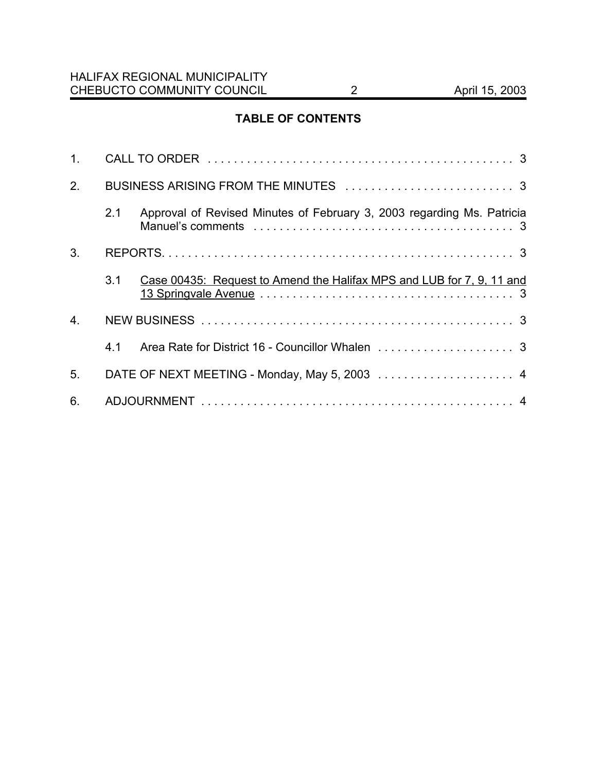## **TABLE OF CONTENTS**

| 1.               |     |                                                                        |  |
|------------------|-----|------------------------------------------------------------------------|--|
| 2.               |     |                                                                        |  |
|                  | 2.1 | Approval of Revised Minutes of February 3, 2003 regarding Ms. Patricia |  |
| 3.               |     |                                                                        |  |
|                  | 3.1 | Case 00435: Request to Amend the Halifax MPS and LUB for 7, 9, 11 and  |  |
| $\overline{4}$ . |     |                                                                        |  |
|                  | 4.1 |                                                                        |  |
| 5.               |     | DATE OF NEXT MEETING - Monday, May 5, 2003  4                          |  |
| 6.               |     |                                                                        |  |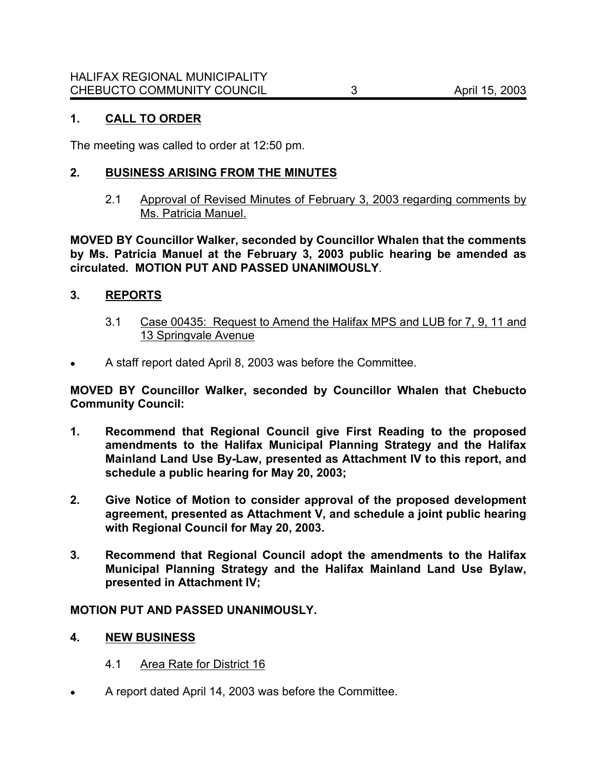## **1. CALL TO ORDER**

The meeting was called to order at 12:50 pm.

## **2. BUSINESS ARISING FROM THE MINUTES**

2.1 Approval of Revised Minutes of February 3, 2003 regarding comments by Ms. Patricia Manuel.

**MOVED BY Councillor Walker, seconded by Councillor Whalen that the comments by Ms. Patricia Manuel at the February 3, 2003 public hearing be amended as circulated. MOTION PUT AND PASSED UNANIMOUSLY**.

### **3. REPORTS**

- 3.1 Case 00435: Request to Amend the Halifax MPS and LUB for 7, 9, 11 and 13 Springvale Avenue
- ! A staff report dated April 8, 2003 was before the Committee.

**MOVED BY Councillor Walker, seconded by Councillor Whalen that Chebucto Community Council:**

- **1. Recommend that Regional Council give First Reading to the proposed amendments to the Halifax Municipal Planning Strategy and the Halifax Mainland Land Use By-Law, presented as Attachment IV to this report, and schedule a public hearing for May 20, 2003;**
- **2. Give Notice of Motion to consider approval of the proposed development agreement, presented as Attachment V, and schedule a joint public hearing with Regional Council for May 20, 2003.**
- **3. Recommend that Regional Council adopt the amendments to the Halifax Municipal Planning Strategy and the Halifax Mainland Land Use Bylaw, presented in Attachment IV;**

#### **MOTION PUT AND PASSED UNANIMOUSLY.**

- **4. NEW BUSINESS**
	- 4.1 Area Rate for District 16
- ! A report dated April 14, 2003 was before the Committee.